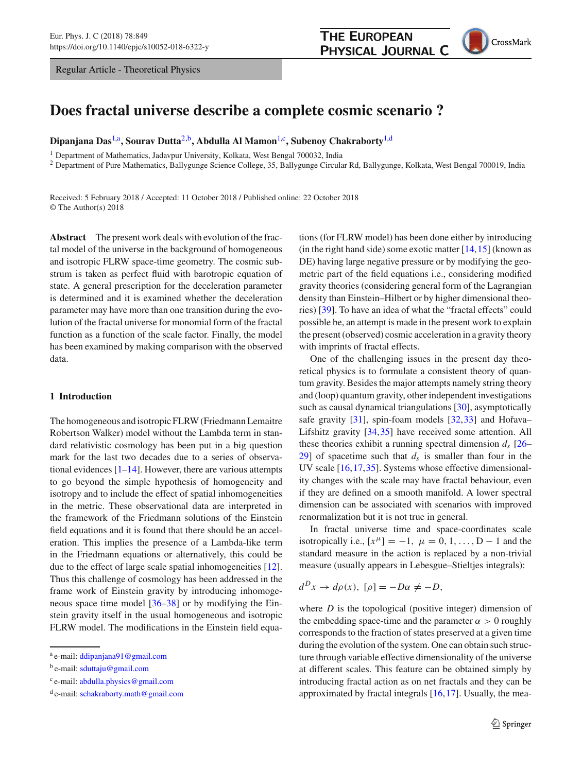Regular Article - Theoretical Physics



# **Does fractal universe describe a complete cosmic scenario ?**

**Dipanjana Das**[1,](#page-0-0)a**, Sourav Dutta**[2,](#page-0-0)b**, Abdulla Al Mamon**[1,](#page-0-0)c**, Subenoy Chakraborty**[1,](#page-0-0)d

<sup>1</sup> Department of Mathematics, Jadavpur University, Kolkata, West Bengal 700032, India

<sup>2</sup> Department of Pure Mathematics, Ballygunge Science College, 35, Ballygunge Circular Rd, Ballygunge, Kolkata, West Bengal 700019, India

Received: 5 February 2018 / Accepted: 11 October 2018 / Published online: 22 October 2018 © The Author(s) 2018

**Abstract** The present work deals with evolution of the fractal model of the universe in the background of homogeneous and isotropic FLRW space-time geometry. The cosmic substrum is taken as perfect fluid with barotropic equation of state. A general prescription for the deceleration parameter is determined and it is examined whether the deceleration parameter may have more than one transition during the evolution of the fractal universe for monomial form of the fractal function as a function of the scale factor. Finally, the model has been examined by making comparison with the observed data.

## **1 Introduction**

The homogeneous and isotropic FLRW (Friedmann Lemaitre Robertson Walker) model without the Lambda term in standard relativistic cosmology has been put in a big question mark for the last two decades due to a series of observational evidences  $[1-14]$  $[1-14]$ . However, there are various attempts to go beyond the simple hypothesis of homogeneity and isotropy and to include the effect of spatial inhomogeneities in the metric. These observational data are interpreted in the framework of the Friedmann solutions of the Einstein field equations and it is found that there should be an acceleration. This implies the presence of a Lambda-like term in the Friedmann equations or alternatively, this could be due to the effect of large scale spatial inhomogeneities [\[12](#page-7-2)]. Thus this challenge of cosmology has been addressed in the frame work of Einstein gravity by introducing inhomogeneous space time model [\[36](#page-8-0)[–38](#page-8-1)] or by modifying the Einstein gravity itself in the usual homogeneous and isotropic FLRW model. The modifications in the Einstein field equa<span id="page-0-0"></span>tions (for FLRW model) has been done either by introducing (in the right hand side) some exotic matter  $[14, 15]$  $[14, 15]$  $[14, 15]$  (known as DE) having large negative pressure or by modifying the geometric part of the field equations i.e., considering modified gravity theories (considering general form of the Lagrangian density than Einstein–Hilbert or by higher dimensional theories) [\[39](#page-8-2)]. To have an idea of what the "fractal effects" could possible be, an attempt is made in the present work to explain the present (observed) cosmic acceleration in a gravity theory with imprints of fractal effects.

One of the challenging issues in the present day theoretical physics is to formulate a consistent theory of quantum gravity. Besides the major attempts namely string theory and (loop) quantum gravity, other independent investigations such as causal dynamical triangulations [\[30\]](#page-8-3), asymptotically safe gravity  $[31]$  $[31]$ , spin-foam models  $[32,33]$  $[32,33]$  and Hořava– Lifshitz gravity [\[34](#page-8-7)[,35](#page-8-8)] have received some attention. All these theories exhibit a running spectral dimension  $d_s$  [\[26](#page-7-4)–  $29$ ] of spacetime such that  $d_s$  is smaller than four in the UV scale [\[16](#page-7-6)[,17](#page-7-7),[35\]](#page-8-8). Systems whose effective dimensionality changes with the scale may have fractal behaviour, even if they are defined on a smooth manifold. A lower spectral dimension can be associated with scenarios with improved renormalization but it is not true in general.

In fractal universe time and space-coordinates scale isotropically i.e.,  $[x^{\mu}] = -1$ ,  $\mu = 0, 1, \ldots, D - 1$  and the standard measure in the action is replaced by a non-trivial measure (usually appears in Lebesgue–Stieltjes integrals):

$$
d^Dx \to d\rho(x), \ [\rho] = -D\alpha \neq -D,
$$

where *D* is the topological (positive integer) dimension of the embedding space-time and the parameter  $\alpha > 0$  roughly corresponds to the fraction of states preserved at a given time during the evolution of the system. One can obtain such structure through variable effective dimensionality of the universe at different scales. This feature can be obtained simply by introducing fractal action as on net fractals and they can be approximated by fractal integrals [\[16](#page-7-6)[,17](#page-7-7)]. Usually, the mea-

<sup>a</sup> e-mail: [ddipanjana91@gmail.com](mailto:ddipanjana91@gmail.com)

 $b$  e-mail: [sduttaju@gmail.com](mailto:sduttaju@gmail.com)

<sup>c</sup> e-mail: [abdulla.physics@gmail.com](mailto:abdulla.physics@gmail.com)

<sup>d</sup> e-mail: [schakraborty.math@gmail.com](mailto:schakraborty.math@gmail.com)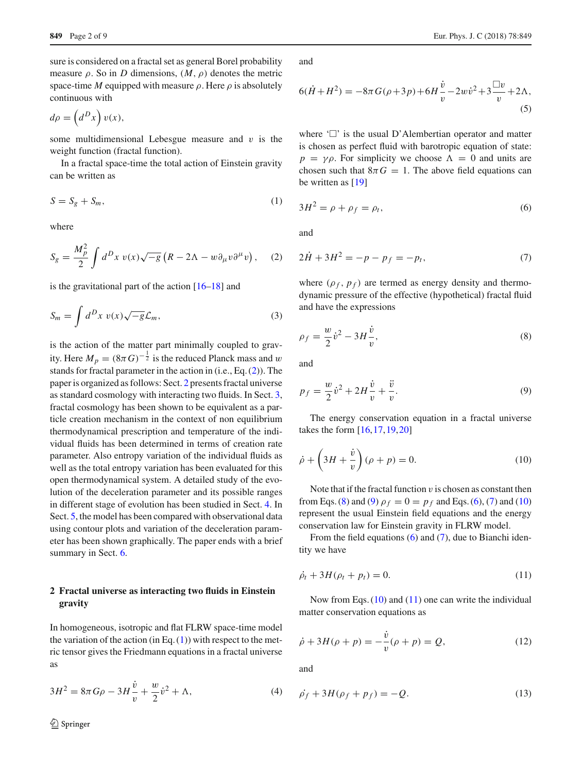sure is considered on a fractal set as general Borel probability measure  $\rho$ . So in *D* dimensions,  $(M, \rho)$  denotes the metric space-time *M* equipped with measure  $\rho$ . Here  $\rho$  is absolutely continuous with

$$
d\rho = \left(d^D x\right)v(x),
$$

some multidimensional Lebesgue measure and  $v$  is the weight function (fractal function).

<span id="page-1-2"></span>In a fractal space-time the total action of Einstein gravity can be written as

$$
S = S_g + S_m,\tag{1}
$$

<span id="page-1-0"></span>where

$$
S_g = \frac{M_p^2}{2} \int d^D x \ v(x) \sqrt{-g} \left( R - 2\Lambda - w \partial_\mu v \partial^\mu v \right), \quad (2)
$$

is the gravitational part of the action  $[16–18]$  $[16–18]$  and

$$
S_m = \int d^D x \ v(x) \sqrt{-g} \mathcal{L}_m,\tag{3}
$$

is the action of the matter part minimally coupled to gravity. Here  $M_p = (8\pi G)^{-\frac{1}{2}}$  is the reduced Planck mass and w stands for fractal parameter in the action in (i.e., Eq. [\(2\)](#page-1-0)). The paper is organized as follows: Sect. [2](#page-1-1) presents fractal universe as standard cosmology with interacting two fluids. In Sect. [3,](#page-2-0) fractal cosmology has been shown to be equivalent as a particle creation mechanism in the context of non equilibrium thermodynamical prescription and temperature of the individual fluids has been determined in terms of creation rate parameter. Also entropy variation of the individual fluids as well as the total entropy variation has been evaluated for this open thermodynamical system. A detailed study of the evolution of the deceleration parameter and its possible ranges in different stage of evolution has been studied in Sect. [4.](#page-3-0) In Sect. [5,](#page-4-0) the model has been compared with observational data using contour plots and variation of the deceleration parameter has been shown graphically. The paper ends with a brief summary in Sect. [6.](#page-6-0)

## <span id="page-1-1"></span>**2 Fractal universe as interacting two fluids in Einstein gravity**

In homogeneous, isotropic and flat FLRW space-time model the variation of the action (in Eq.  $(1)$ ) with respect to the metric tensor gives the Friedmann equations in a fractal universe as

<span id="page-1-11"></span>
$$
3H^2 = 8\pi G\rho - 3H\frac{\dot{v}}{v} + \frac{w}{2}\dot{v}^2 + \Lambda,\tag{4}
$$

<span id="page-1-12"></span>and

$$
6(\dot{H} + H^2) = -8\pi G(\rho + 3p) + 6H\frac{\dot{v}}{v} - 2w\dot{v}^2 + 3\frac{\Box v}{v} + 2\Lambda,
$$
\n(5)

where  $\Box$  is the usual D'Alembertian operator and matter is chosen as perfect fluid with barotropic equation of state:  $p = \gamma \rho$ . For simplicity we choose  $\Lambda = 0$  and units are chosen such that  $8\pi G = 1$ . The above field equations can be written as [\[19\]](#page-7-9)

<span id="page-1-5"></span>
$$
3H^2 = \rho + \rho_f = \rho_t,\tag{6}
$$

<span id="page-1-6"></span>and

$$
2\dot{H} + 3H^2 = -p - p_f = -p_t,\tag{7}
$$

where  $(\rho_f, p_f)$  are termed as energy density and thermodynamic pressure of the effective (hypothetical) fractal fluid and have the expressions

<span id="page-1-3"></span>
$$
\rho_f = \frac{w}{2} \dot{v}^2 - 3H \frac{\dot{v}}{v},\tag{8}
$$

<span id="page-1-4"></span>and

$$
p_f = \frac{w}{2}\dot{v}^2 + 2H\frac{\dot{v}}{v} + \frac{\ddot{v}}{v}.
$$
 (9)

<span id="page-1-7"></span>The energy conservation equation in a fractal universe takes the form [\[16](#page-7-6)[,17](#page-7-7)[,19](#page-7-9),[20\]](#page-7-10)

$$
\dot{\rho} + \left(3H + \frac{\dot{v}}{v}\right)(\rho + p) = 0.
$$
\n(10)

Note that if the fractal function  $v$  is chosen as constant then from Eqs. [\(8\)](#page-1-3) and [\(9\)](#page-1-4)  $\rho_f = 0 = p_f$  and Eqs. [\(6\)](#page-1-5), [\(7\)](#page-1-6) and [\(10\)](#page-1-7) represent the usual Einstein field equations and the energy conservation law for Einstein gravity in FLRW model.

<span id="page-1-8"></span>From the field equations [\(6\)](#page-1-5) and [\(7\)](#page-1-6), due to Bianchi identity we have

$$
\dot{\rho}_t + 3H(\rho_t + p_t) = 0. \tag{11}
$$

Now from Eqs.  $(10)$  and  $(11)$  one can write the individual matter conservation equations as

<span id="page-1-9"></span>
$$
\dot{\rho} + 3H(\rho + p) = -\frac{\dot{v}}{v}(\rho + p) = Q,\tag{12}
$$

<span id="page-1-10"></span>and

$$
\dot{\rho_f} + 3H(\rho_f + p_f) = -Q.\tag{13}
$$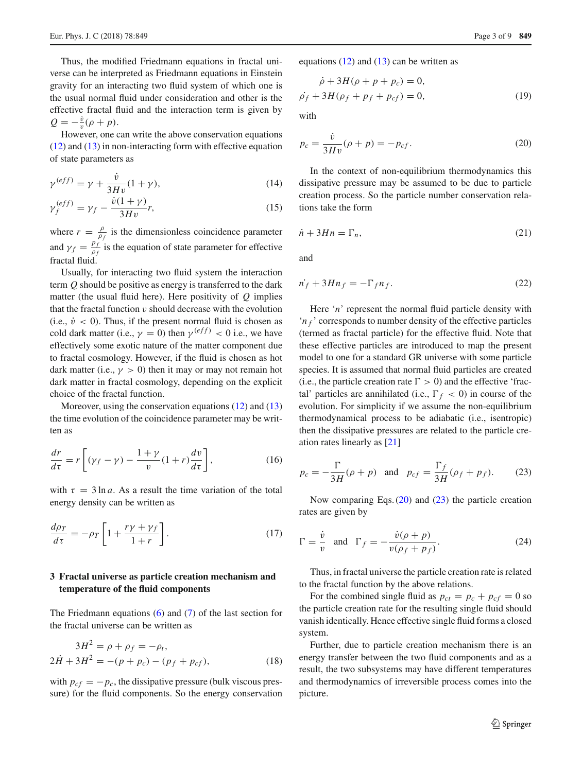Thus, the modified Friedmann equations in fractal universe can be interpreted as Friedmann equations in Einstein gravity for an interacting two fluid system of which one is the usual normal fluid under consideration and other is the effective fractal fluid and the interaction term is given by  $Q = -\frac{\dot{v}}{v}(\rho + p).$ 

However, one can write the above conservation equations  $(12)$  and  $(13)$  in non-interacting form with effective equation of state parameters as

<span id="page-2-3"></span>
$$
\gamma^{(eff)} = \gamma + \frac{\dot{v}}{3Hv}(1+\gamma),\tag{14}
$$

$$
\gamma_f^{(eff)} = \gamma_f - \frac{\dot{v}(1+\gamma)}{3Hv}r,\tag{15}
$$

where  $r = \frac{\rho}{\rho_f}$  is the dimensionless coincidence parameter and  $\gamma_f = \frac{p_f}{\rho_f}$  is the equation of state parameter for effective fractal fluid.

Usually, for interacting two fluid system the interaction term *Q* should be positive as energy is transferred to the dark matter (the usual fluid here). Here positivity of *Q* implies that the fractal function  $v$  should decrease with the evolution (i.e.,  $\dot{v}$  < 0). Thus, if the present normal fluid is chosen as cold dark matter (i.e.,  $\gamma = 0$ ) then  $\gamma^{(eff)} < 0$  i.e., we have effectively some exotic nature of the matter component due to fractal cosmology. However, if the fluid is chosen as hot dark matter (i.e.,  $\gamma > 0$ ) then it may or may not remain hot dark matter in fractal cosmology, depending on the explicit choice of the fractal function.

Moreover, using the conservation equations [\(12\)](#page-1-9) and [\(13\)](#page-1-10) the time evolution of the coincidence parameter may be written as

$$
\frac{dr}{d\tau} = r \left[ (\gamma_f - \gamma) - \frac{1+\gamma}{v} (1+r) \frac{dv}{d\tau} \right],\tag{16}
$$

with  $\tau = 3 \ln a$ . As a result the time variation of the total energy density can be written as

$$
\frac{d\rho_T}{d\tau} = -\rho_T \left[ 1 + \frac{r\gamma + \gamma_f}{1+r} \right].
$$
\n(17)

## <span id="page-2-0"></span>**3 Fractal universe as particle creation mechanism and temperature of the fluid components**

The Friedmann equations [\(6\)](#page-1-5) and [\(7\)](#page-1-6) of the last section for the fractal universe can be written as

$$
3H2 = \rho + \rho_f = -\rho_t,
$$
  

$$
2\dot{H} + 3H2 = -(p + p_c) - (p_f + p_{cf}),
$$
 (18)

with  $p_{cf} = -p_c$ , the dissipative pressure (bulk viscous pressure) for the fluid components. So the energy conservation equations  $(12)$  and  $(13)$  can be written as

$$
\dot{\rho} + 3H(\rho + p + p_c) = 0,\n\dot{\rho_f} + 3H(\rho_f + p_f + p_{cf}) = 0,
$$
\n(19)

<span id="page-2-1"></span>with

$$
p_c = \frac{\dot{v}}{3Hv}(\rho + p) = -p_{cf}.
$$
 (20)

In the context of non-equilibrium thermodynamics this dissipative pressure may be assumed to be due to particle creation process. So the particle number conservation relations take the form

$$
\dot{n} + 3Hn = \Gamma_n,\tag{21}
$$

and

$$
\dot{n_f} + 3Hn_f = -\Gamma_f n_f. \tag{22}
$$

Here '*n*' represent the normal fluid particle density with '*n <sup>f</sup>* ' corresponds to number density of the effective particles (termed as fractal particle) for the effective fluid. Note that these effective particles are introduced to map the present model to one for a standard GR universe with some particle species. It is assumed that normal fluid particles are created (i.e., the particle creation rate  $\Gamma > 0$ ) and the effective 'fractal' particles are annihilated (i.e.,  $\Gamma_f < 0$ ) in course of the evolution. For simplicity if we assume the non-equilibrium thermodynamical process to be adiabatic (i.e., isentropic) then the dissipative pressures are related to the particle creation rates linearly as [\[21\]](#page-7-11)

<span id="page-2-2"></span>
$$
p_c = -\frac{\Gamma}{3H}(\rho + p) \quad \text{and} \quad p_{cf} = \frac{\Gamma_f}{3H}(\rho_f + p_f). \tag{23}
$$

<span id="page-2-4"></span>Now comparing Eqs. [\(20\)](#page-2-1) and [\(23\)](#page-2-2) the particle creation rates are given by

$$
\Gamma = \frac{\dot{v}}{v} \quad \text{and} \quad \Gamma_f = -\frac{\dot{v}(\rho + p)}{v(\rho_f + p_f)}.
$$
 (24)

Thus, in fractal universe the particle creation rate is related to the fractal function by the above relations.

For the combined single fluid as  $p_{ct} = p_c + p_{cf} = 0$  so the particle creation rate for the resulting single fluid should vanish identically. Hence effective single fluid forms a closed system.

Further, due to particle creation mechanism there is an energy transfer between the two fluid components and as a result, the two subsystems may have different temperatures and thermodynamics of irreversible process comes into the picture.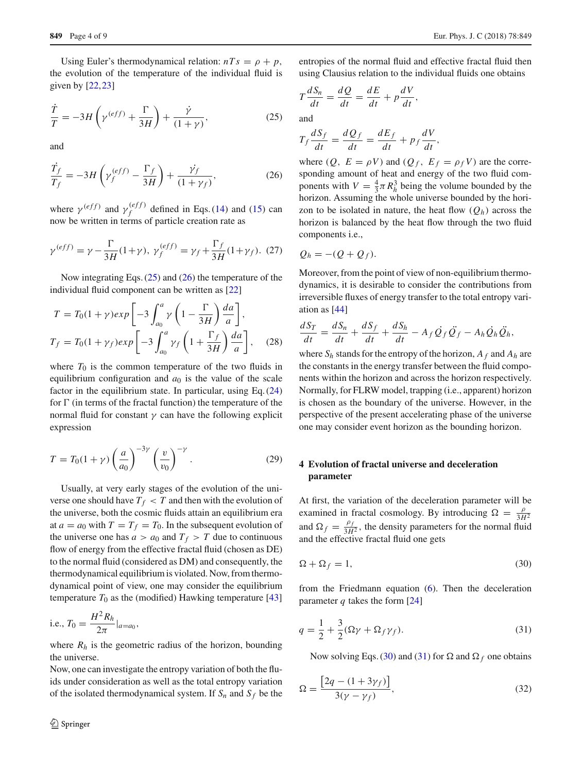<span id="page-3-1"></span>Using Euler's thermodynamical relation:  $nTs = \rho + p$ , the evolution of the temperature of the individual fluid is given by [\[22](#page-7-12)[,23](#page-7-13)]

$$
\frac{\dot{T}}{T} = -3H\left(\gamma^{(eff)} + \frac{\Gamma}{3H}\right) + \frac{\dot{\gamma}}{(1+\gamma)},\tag{25}
$$

<span id="page-3-2"></span>and

$$
\frac{\dot{T}_f}{T_f} = -3H\left(\gamma_f^{(eff)} - \frac{\Gamma_f}{3H}\right) + \frac{\dot{\gamma}_f}{(1+\gamma_f)},\tag{26}
$$

where  $\gamma^{(eff)}$  and  $\gamma_f^{(eff)}$  defined in Eqs. [\(14\)](#page-2-3) and [\(15\)](#page-2-3) can now be written in terms of particle creation rate as

$$
\gamma^{(eff)} = \gamma - \frac{\Gamma}{3H}(1+\gamma), \ \gamma_f^{(eff)} = \gamma_f + \frac{\Gamma_f}{3H}(1+\gamma_f).
$$
 (27)

Now integrating Eqs.  $(25)$  and  $(26)$  the temperature of the individual fluid component can be written as [\[22](#page-7-12)]

$$
T = T_0(1+\gamma)exp\left[-3\int_{a_0}^a \gamma \left(1 - \frac{\Gamma}{3H}\right) \frac{da}{a}\right],
$$
  
\n
$$
T_f = T_0(1+\gamma_f)exp\left[-3\int_{a_0}^a \gamma_f \left(1 + \frac{\Gamma_f}{3H}\right) \frac{da}{a}\right],
$$
 (28)

where  $T_0$  is the common temperature of the two fluids in equilibrium configuration and  $a_0$  is the value of the scale factor in the equilibrium state. In particular, using Eq. [\(24\)](#page-2-4) for  $\Gamma$  (in terms of the fractal function) the temperature of the normal fluid for constant  $γ$  can have the following explicit expression

$$
T = T_0(1+\gamma)\left(\frac{a}{a_0}\right)^{-3\gamma}\left(\frac{v}{v_0}\right)^{-\gamma}.\tag{29}
$$

Usually, at very early stages of the evolution of the universe one should have  $T_f < T$  and then with the evolution of the universe, both the cosmic fluids attain an equilibrium era at  $a = a_0$  with  $T = T_f = T_0$ . In the subsequent evolution of the universe one has  $a > a_0$  and  $T_f > T$  due to continuous flow of energy from the effective fractal fluid (chosen as DE) to the normal fluid (considered as DM) and consequently, the thermodynamical equilibrium is violated. Now, from thermodynamical point of view, one may consider the equilibrium temperature  $T_0$  as the (modified) Hawking temperature [\[43\]](#page-8-9)

i.e., 
$$
T_0 = \frac{H^2 R_h}{2\pi} |_{a=a_0}
$$
,

where  $R_h$  is the geometric radius of the horizon, bounding the universe.

Now, one can investigate the entropy variation of both the fluids under consideration as well as the total entropy variation of the isolated thermodynamical system. If  $S_n$  and  $S_f$  be the entropies of the normal fluid and effective fractal fluid then using Clausius relation to the individual fluids one obtains

$$
T\frac{dS_n}{dt} = \frac{dQ}{dt} = \frac{dE}{dt} + p\frac{dV}{dt},
$$

and

$$
T_f \frac{dS_f}{dt} = \frac{dQ_f}{dt} = \frac{dE_f}{dt} + p_f \frac{dV}{dt},
$$

where  $(Q, E = \rho V)$  and  $(Q_f, E_f = \rho_f V)$  are the corresponding amount of heat and energy of the two fluid components with  $V = \frac{4}{3}\pi R_h^3$  being the volume bounded by the horizon. Assuming the whole universe bounded by the horizon to be isolated in nature, the heat flow  $(Q_h)$  across the horizon is balanced by the heat flow through the two fluid components i.e.,

$$
Q_h = -(Q + Q_f).
$$

Moreover, from the point of view of non-equilibrium thermodynamics, it is desirable to consider the contributions from irreversible fluxes of energy transfer to the total entropy variation as [\[44\]](#page-8-10)

$$
\frac{dS_T}{dt} = \frac{dS_n}{dt} + \frac{dS_f}{dt} + \frac{dS_h}{dt} - A_f \dot{Q}_f \ddot{Q}_f - A_h \dot{Q}_h \ddot{Q}_h,
$$

where  $S_h$  stands for the entropy of the horizon,  $A_f$  and  $A_h$  are the constants in the energy transfer between the fluid components within the horizon and across the horizon respectively. Normally, for FLRW model, trapping (i.e., apparent) horizon is chosen as the boundary of the universe. However, in the perspective of the present accelerating phase of the universe one may consider event horizon as the bounding horizon.

## <span id="page-3-0"></span>**4 Evolution of fractal universe and deceleration parameter**

At first, the variation of the deceleration parameter will be examined in fractal cosmology. By introducing  $\Omega = \frac{\rho}{3H^2}$ and  $\Omega_f = \frac{\rho_f}{3H^2}$ , the density parameters for the normal fluid and the effective fractal fluid one gets

<span id="page-3-3"></span>
$$
\Omega + \Omega_f = 1,\tag{30}
$$

<span id="page-3-4"></span>from the Friedmann equation [\(6\)](#page-1-5). Then the deceleration parameter *q* takes the form [\[24](#page-7-14)]

$$
q = \frac{1}{2} + \frac{3}{2}(\Omega \gamma + \Omega_f \gamma_f). \tag{31}
$$

Now solving Eqs. [\(30\)](#page-3-3) and [\(31\)](#page-3-4) for  $\Omega$  and  $\Omega_f$  one obtains

$$
\Omega = \frac{\left[2q - (1 + 3\gamma_f)\right]}{3(\gamma - \gamma_f)},\tag{32}
$$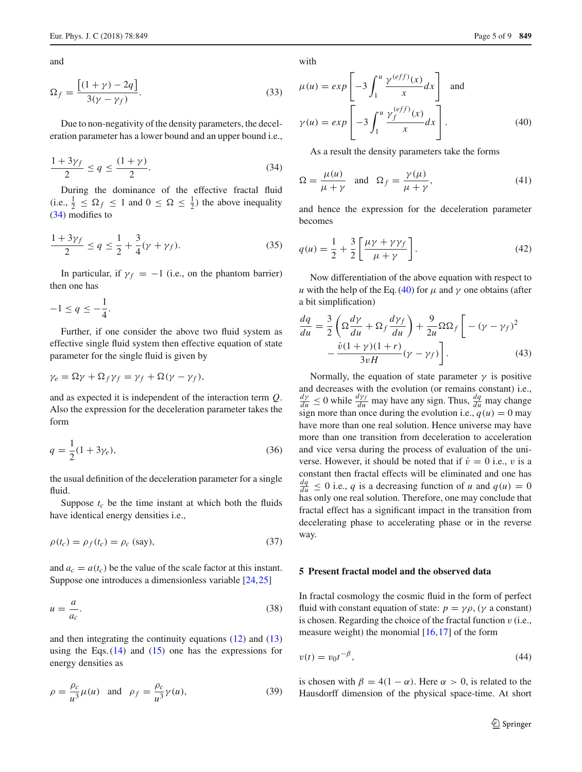and

$$
\Omega_f = \frac{\left[ (1+\gamma) - 2q \right]}{3(\gamma - \gamma_f)}.
$$
\n(33)

Due to non-negativity of the density parameters, the deceleration parameter has a lower bound and an upper bound i.e.,

<span id="page-4-1"></span>
$$
\frac{1+3\gamma_f}{2} \le q \le \frac{(1+\gamma)}{2}.
$$
 (34)

During the dominance of the effective fractal fluid (i.e.,  $\frac{1}{2} \leq \Omega_f \leq 1$  and  $0 \leq \Omega \leq \frac{1}{2}$ ) the above inequality [\(34\)](#page-4-1) modifies to

$$
\frac{1+3\gamma_f}{2} \le q \le \frac{1}{2} + \frac{3}{4}(\gamma + \gamma_f). \tag{35}
$$

In particular, if  $\gamma_f = -1$  (i.e., on the phantom barrier) then one has

$$
-1 \le q \le -\frac{1}{4}.
$$

Further, if one consider the above two fluid system as effective single fluid system then effective equation of state parameter for the single fluid is given by

$$
\gamma_e = \Omega \gamma + \Omega_f \gamma_f = \gamma_f + \Omega (\gamma - \gamma_f),
$$

and as expected it is independent of the interaction term *Q*. Also the expression for the deceleration parameter takes the form

$$
q = \frac{1}{2}(1 + 3\gamma_e),
$$
\n(36)

the usual definition of the deceleration parameter for a single fluid.

Suppose  $t_c$  be the time instant at which both the fluids have identical energy densities i.e.,

$$
\rho(t_c) = \rho_f(t_c) = \rho_c \text{ (say)},\tag{37}
$$

and  $a_c = a(t_c)$  be the value of the scale factor at this instant. Suppose one introduces a dimensionless variable [\[24,](#page-7-14)[25\]](#page-7-15)

$$
u = \frac{a}{a_c}.\tag{38}
$$

and then integrating the continuity equations [\(12\)](#page-1-9) and [\(13\)](#page-1-10) using the Eqs.  $(14)$  and  $(15)$  one has the expressions for energy densities as

$$
\rho = \frac{\rho_c}{u^3} \mu(u) \quad \text{and} \quad \rho_f = \frac{\rho_c}{u^3} \gamma(u), \tag{39}
$$

with

<span id="page-4-2"></span>
$$
\mu(u) = exp\left[-3\int_1^u \frac{\gamma^{(eff)}(x)}{x} dx\right] \text{ and}
$$

$$
\gamma(u) = exp\left[-3\int_1^u \frac{\gamma_f^{(eff)}(x)}{x} dx\right].
$$
(40)

As a result the density parameters take the forms

$$
\Omega = \frac{\mu(u)}{\mu + \gamma} \quad \text{and} \quad \Omega_f = \frac{\gamma(\mu)}{\mu + \gamma}, \tag{41}
$$

and hence the expression for the deceleration parameter becomes

$$
q(u) = \frac{1}{2} + \frac{3}{2} \left[ \frac{\mu \gamma + \gamma \gamma_f}{\mu + \gamma} \right].
$$
 (42)

Now differentiation of the above equation with respect to *u* with the help of the Eq. [\(40\)](#page-4-2) for  $\mu$  and  $\gamma$  one obtains (after a bit simplification)

$$
\frac{dq}{du} = \frac{3}{2} \left( \Omega \frac{d\gamma}{du} + \Omega_f \frac{d\gamma_f}{du} \right) + \frac{9}{2u} \Omega \Omega_f \left[ -(\gamma - \gamma_f)^2 - \frac{\dot{v}(1 + \gamma)(1 + r)}{3vH} (\gamma - \gamma_f) \right].
$$
\n(43)

Normally, the equation of state parameter  $\gamma$  is positive and decreases with the evolution (or remains constant) i.e.,  $\frac{dy}{du} \le 0$  while  $\frac{dy_f}{du}$  may have any sign. Thus,  $\frac{dq}{du}$  may change sign more than once during the evolution i.e.,  $q(u) = 0$  may have more than one real solution. Hence universe may have more than one transition from deceleration to acceleration and vice versa during the process of evaluation of the universe. However, it should be noted that if  $\dot{v} = 0$  i.e., v is a constant then fractal effects will be eliminated and one has  $\frac{dq}{du} \le 0$  i.e., *q* is a decreasing function of *u* and  $q(u) = 0$ has only one real solution. Therefore, one may conclude that fractal effect has a significant impact in the transition from decelerating phase to accelerating phase or in the reverse way.

#### <span id="page-4-0"></span>**5 Present fractal model and the observed data**

In fractal cosmology the cosmic fluid in the form of perfect fluid with constant equation of state:  $p = \gamma \rho$ , ( $\gamma$  a constant) is chosen. Regarding the choice of the fractal function  $v$  (i.e., measure weight) the monomial  $[16, 17]$  $[16, 17]$  $[16, 17]$  of the form

<span id="page-4-3"></span>
$$
v(t) = v_0 t^{-\beta},\tag{44}
$$

is chosen with  $\beta = 4(1 - \alpha)$ . Here  $\alpha > 0$ , is related to the Hausdorff dimension of the physical space-time. At short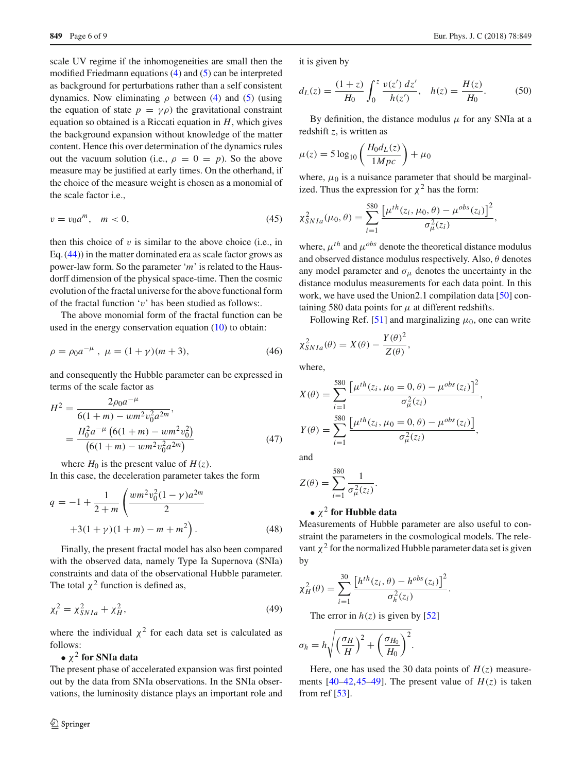scale UV regime if the inhomogeneities are small then the modified Friedmann equations [\(4\)](#page-1-11) and [\(5\)](#page-1-12) can be interpreted as background for perturbations rather than a self consistent dynamics. Now eliminating  $\rho$  between [\(4\)](#page-1-11) and [\(5\)](#page-1-12) (using the equation of state  $p = \gamma \rho$ ) the gravitational constraint equation so obtained is a Riccati equation in *H*, which gives the background expansion without knowledge of the matter content. Hence this over determination of the dynamics rules out the vacuum solution (i.e.,  $\rho = 0 = p$ ). So the above measure may be justified at early times. On the otherhand, if the choice of the measure weight is chosen as a monomial of the scale factor i.e.,

$$
v = v_0 a^m, \quad m < 0,\tag{45}
$$

then this choice of  $v$  is similar to the above choice (i.e., in Eq. [\(44\)](#page-4-3)) in the matter dominated era as scale factor grows as power-law form. So the parameter '*m*' is related to the Hausdorff dimension of the physical space-time. Then the cosmic evolution of the fractal universe for the above functional form of the fractal function 'v' has been studied as follows:.

The above monomial form of the fractal function can be used in the energy conservation equation [\(10\)](#page-1-7) to obtain:

$$
\rho = \rho_0 a^{-\mu} , \ \mu = (1 + \gamma)(m + 3), \tag{46}
$$

and consequently the Hubble parameter can be expressed in terms of the scale factor as

$$
H^{2} = \frac{2\rho_{0}a^{-\mu}}{6(1+m) - \nu m^{2}v_{0}^{2}a^{2m}},
$$
  
= 
$$
\frac{H_{0}^{2}a^{-\mu} (6(1+m) - \nu m^{2}v_{0}^{2})}{(6(1+m) - \nu m^{2}v_{0}^{2}a^{2m})}
$$
(47)

where  $H_0$  is the present value of  $H(z)$ .

In this case, the deceleration parameter takes the form

$$
q = -1 + \frac{1}{2+m} \left( \frac{wm^2 v_0^2 (1-\gamma) a^{2m}}{2} + 3(1+\gamma)(1+m) - m + m^2 \right).
$$
 (48)

Finally, the present fractal model has also been compared with the observed data, namely Type Ia Supernova (SNIa) constraints and data of the observational Hubble parameter. The total  $\chi^2$  function is defined as,

$$
\chi_t^2 = \chi_{SNIa}^2 + \chi_H^2,\tag{49}
$$

where the individual  $\chi^2$  for each data set is calculated as follows:

## •  $\chi^2$  for SNIa data

The present phase of accelerated expansion was first pointed out by the data from SNIa observations. In the SNIa observations, the luminosity distance plays an important role and it is given by

$$
d_L(z) = \frac{(1+z)}{H_0} \int_0^z \frac{v(z') \, dz'}{h(z')}, \quad h(z) = \frac{H(z)}{H_0}.
$$
 (50)

By definition, the distance modulus  $\mu$  for any SNIa at a redshift *z*, is written as

$$
\mu(z) = 5\log_{10}\left(\frac{H_0 d_L(z)}{1 Mpc}\right) + \mu_0
$$

where,  $\mu_0$  is a nuisance parameter that should be marginalized. Thus the expression for  $\chi^2$  has the form:

$$
\chi_{SNIa}^{2}(\mu_{0}, \theta) = \sum_{i=1}^{580} \frac{\left[\mu^{th}(z_{i}, \mu_{0}, \theta) - \mu^{obs}(z_{i})\right]^{2}}{\sigma_{\mu}^{2}(z_{i})},
$$

where,  $\mu^{th}$  and  $\mu^{obs}$  denote the theoretical distance modulus and observed distance modulus respectively. Also,  $\theta$  denotes any model parameter and  $\sigma_{\mu}$  denotes the uncertainty in the distance modulus measurements for each data point. In this work, we have used the Union2.1 compilation data [\[50](#page-8-11)] containing 580 data points for  $\mu$  at different redshifts.

Following Ref. [\[51](#page-8-12)] and marginalizing  $\mu_0$ , one can write

$$
\chi^2_{SNIa}(\theta) = X(\theta) - \frac{Y(\theta)^2}{Z(\theta)},
$$

where,

$$
X(\theta) = \sum_{i=1}^{580} \frac{\left[\mu^{th}(z_i, \mu_0 = 0, \theta) - \mu^{obs}(z_i)\right]^2}{\sigma_{\mu}^2(z_i)},
$$
  

$$
Y(\theta) = \sum_{i=1}^{580} \frac{\left[\mu^{th}(z_i, \mu_0 = 0, \theta) - \mu^{obs}(z_i)\right]}{\sigma_{\mu}^2(z_i)},
$$

and

$$
Z(\theta) = \sum_{i=1}^{580} \frac{1}{\sigma_{\mu}^2(z_i)}.
$$

## • <sup>χ</sup><sup>2</sup> **for Hubble data**

Measurements of Hubble parameter are also useful to constraint the parameters in the cosmological models. The relevant  $\chi^2$  for the normalized Hubble parameter data set is given by

<span id="page-5-0"></span>
$$
\chi^2_H(\theta) = \sum_{i=1}^{30} \frac{\left[ h^{th}(z_i, \theta) - h^{obs}(z_i) \right]^2}{\sigma^2_h(z_i)}.
$$

The error in  $h(z)$  is given by [\[52\]](#page-8-13)

$$
\sigma_h = h \sqrt{\left(\frac{\sigma_H}{H}\right)^2 + \left(\frac{\sigma_{H_0}}{H_0}\right)^2}.
$$

Here, one has used the 30 data points of  $H(z)$  measurements  $[40-42, 45-49]$  $[40-42, 45-49]$ . The present value of  $H(z)$  is taken from ref  $[53]$ .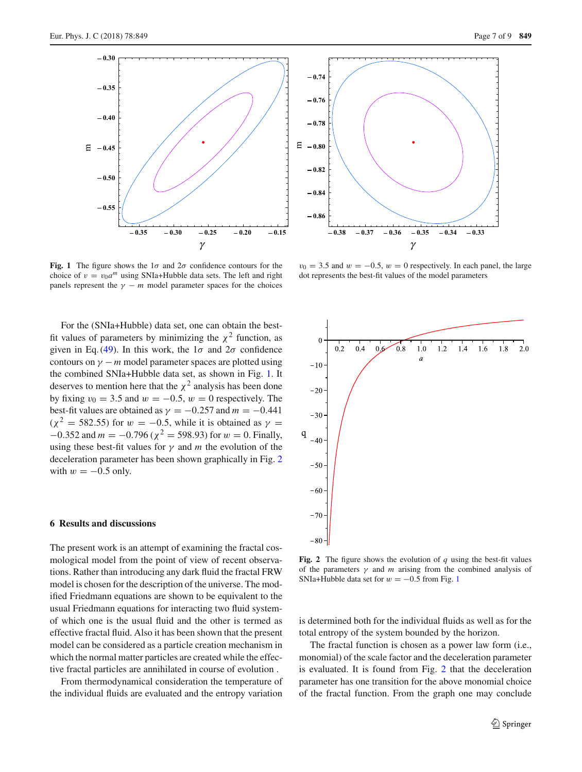

<span id="page-6-1"></span>**Fig. 1** The figure shows the  $1\sigma$  and  $2\sigma$  confidence contours for the choice of  $v = v_0 a^m$  using SNIa+Hubble data sets. The left and right panels represent the  $\gamma - m$  model parameter spaces for the choices

For the (SNIa+Hubble) data set, one can obtain the bestfit values of parameters by minimizing the  $\chi^2$  function, as given in Eq. [\(49\)](#page-5-0). In this work, the  $1\sigma$  and  $2\sigma$  confidence contours on  $\gamma$  – *m* model parameter spaces are plotted using the combined SNIa+Hubble data set, as shown in Fig. [1.](#page-6-1) It deserves to mention here that the  $\chi^2$  analysis has been done by fixing  $v_0 = 3.5$  and  $w = -0.5$ ,  $w = 0$  respectively. The best-fit values are obtained as  $\gamma = -0.257$  and  $m = -0.441$  $(\chi^2 = 582.55)$  for  $w = -0.5$ , while it is obtained as  $\gamma =$  $-0.352$  and  $m = -0.796$  ( $\chi^2 = 598.93$ ) for  $w = 0$ . Finally, using these best-fit values for  $\gamma$  and *m* the evolution of the deceleration parameter has been shown graphically in Fig. [2](#page-6-2) with  $w = -0.5$  only.

#### <span id="page-6-0"></span>**6 Results and discussions**

The present work is an attempt of examining the fractal cosmological model from the point of view of recent observations. Rather than introducing any dark fluid the fractal FRW model is chosen for the description of the universe. The modified Friedmann equations are shown to be equivalent to the usual Friedmann equations for interacting two fluid systemof which one is the usual fluid and the other is termed as effective fractal fluid. Also it has been shown that the present model can be considered as a particle creation mechanism in which the normal matter particles are created while the effective fractal particles are annihilated in course of evolution .

From thermodynamical consideration the temperature of the individual fluids are evaluated and the entropy variation



 $v_0 = 3.5$  and  $w = -0.5$ ,  $w = 0$  respectively. In each panel, the large dot represents the best-fit values of the model parameters



<span id="page-6-2"></span>**Fig. 2** The figure shows the evolution of *q* using the best-fit values of the parameters  $\gamma$  and *m* arising from the combined analysis of SNIa+Hubble data set for  $w = -0.5$  from Fig. [1](#page-6-1)

is determined both for the individual fluids as well as for the total entropy of the system bounded by the horizon.

The fractal function is chosen as a power law form (i.e., monomial) of the scale factor and the deceleration parameter is evaluated. It is found from Fig. [2](#page-6-2) that the deceleration parameter has one transition for the above monomial choice of the fractal function. From the graph one may conclude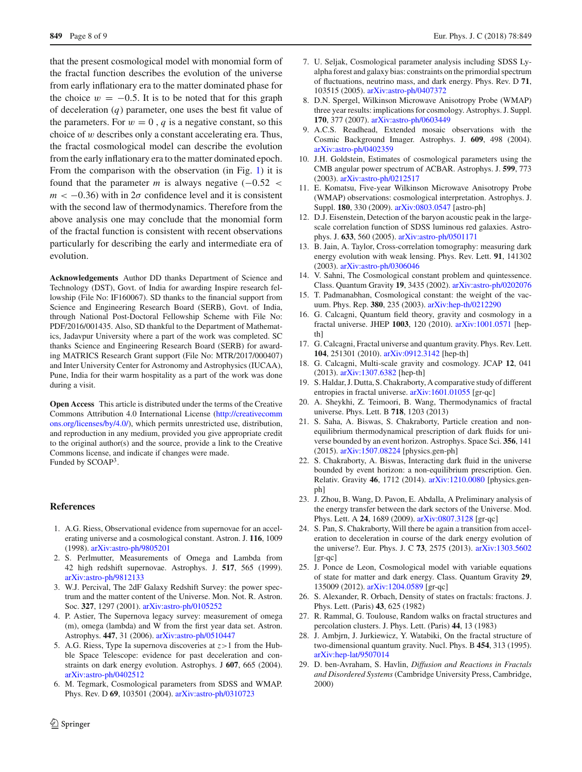that the present cosmological model with monomial form of the fractal function describes the evolution of the universe from early inflationary era to the matter dominated phase for the choice  $w = -0.5$ . It is to be noted that for this graph of deceleration (*q*) parameter, one uses the best fit value of the parameters. For  $w = 0$ ,  $q$  is a negative constant, so this choice of  $w$  describes only a constant accelerating era. Thus, the fractal cosmological model can describe the evolution from the early inflationary era to the matter dominated epoch. From the comparison with the observation (in Fig. [1\)](#page-6-1) it is found that the parameter  $m$  is always negative  $(-0.52 <$  $m < -0.36$ ) with in  $2\sigma$  confidence level and it is consistent with the second law of thermodynamics. Therefore from the above analysis one may conclude that the monomial form of the fractal function is consistent with recent observations particularly for describing the early and intermediate era of evolution.

**Acknowledgements** Author DD thanks Department of Science and Technology (DST), Govt. of India for awarding Inspire research fellowship (File No: IF160067). SD thanks to the financial support from Science and Engineering Research Board (SERB), Govt. of India, through National Post-Doctoral Fellowship Scheme with File No: PDF/2016/001435. Also, SD thankful to the Department of Mathematics, Jadavpur University where a part of the work was completed. SC thanks Science and Engineering Research Board (SERB) for awarding MATRICS Research Grant support (File No: MTR/2017/000407) and Inter University Center for Astronomy and Astrophysics (IUCAA), Pune, India for their warm hospitality as a part of the work was done during a visit.

**Open Access** This article is distributed under the terms of the Creative Commons Attribution 4.0 International License [\(http://creativecomm](http://creativecommons.org/licenses/by/4.0/) [ons.org/licenses/by/4.0/\)](http://creativecommons.org/licenses/by/4.0/), which permits unrestricted use, distribution, and reproduction in any medium, provided you give appropriate credit to the original author(s) and the source, provide a link to the Creative Commons license, and indicate if changes were made. Funded by SCOAP<sup>3</sup>.

#### **References**

- <span id="page-7-0"></span>1. A.G. Riess, Observational evidence from supernovae for an accelerating universe and a cosmological constant. Astron. J. **116**, 1009 (1998). [arXiv:astro-ph/9805201](http://arxiv.org/abs/astro-ph/9805201)
- 2. S. Perlmutter, Measurements of Omega and Lambda from 42 high redshift supernovae. Astrophys. J. **517**, 565 (1999). [arXiv:astro-ph/9812133](http://arxiv.org/abs/astro-ph/9812133)
- 3. W.J. Percival, The 2dF Galaxy Redshift Survey: the power spectrum and the matter content of the Universe. Mon. Not. R. Astron. Soc. **327**, 1297 (2001). [arXiv:astro-ph/0105252](http://arxiv.org/abs/astro-ph/0105252)
- 4. P. Astier, The Supernova legacy survey: measurement of omega (m), omega (lambda) and W from the first year data set. Astron. Astrophys. **447**, 31 (2006). [arXiv:astro-ph/0510447](http://arxiv.org/abs/astro-ph/0510447)
- 5. A.G. Riess, Type Ia supernova discoveries at *z*>1 from the Hubble Space Telescope: evidence for past deceleration and constraints on dark energy evolution. Astrophys. J **607**, 665 (2004). [arXiv:astro-ph/0402512](http://arxiv.org/abs/astro-ph/0402512)
- 6. M. Tegmark, Cosmological parameters from SDSS and WMAP. Phys. Rev. D **69**, 103501 (2004). [arXiv:astro-ph/0310723](http://arxiv.org/abs/astro-ph/0310723)
- 7. U. Seljak, Cosmological parameter analysis including SDSS Lyalpha forest and galaxy bias: constraints on the primordial spectrum of fluctuations, neutrino mass, and dark energy. Phys. Rev. D **71**, 103515 (2005). [arXiv:astro-ph/0407372](http://arxiv.org/abs/astro-ph/0407372)
- 8. D.N. Spergel, Wilkinson Microwave Anisotropy Probe (WMAP) three year results: implications for cosmology. Astrophys. J. Suppl. **170**, 377 (2007). [arXiv:astro-ph/0603449](http://arxiv.org/abs/astro-ph/0603449)
- 9. A.C.S. Readhead, Extended mosaic observations with the Cosmic Background Imager. Astrophys. J. **609**, 498 (2004). [arXiv:astro-ph/0402359](http://arxiv.org/abs/astro-ph/0402359)
- 10. J.H. Goldstein, Estimates of cosmological parameters using the CMB angular power spectrum of ACBAR. Astrophys. J. **599**, 773 (2003). [arXiv:astro-ph/0212517](http://arxiv.org/abs/astro-ph/0212517)
- 11. E. Komatsu, Five-year Wilkinson Microwave Anisotropy Probe (WMAP) observations: cosmological interpretation. Astrophys. J. Suppl. **180**, 330 (2009). [arXiv:0803.0547](http://arxiv.org/abs/0803.0547) [astro-ph]
- <span id="page-7-2"></span>12. D.J. Eisenstein, Detection of the baryon acoustic peak in the largescale correlation function of SDSS luminous red galaxies. Astrophys. J. **633**, 560 (2005). [arXiv:astro-ph/0501171](http://arxiv.org/abs/astro-ph/0501171)
- 13. B. Jain, A. Taylor, Cross-correlation tomography: measuring dark energy evolution with weak lensing. Phys. Rev. Lett. **91**, 141302 (2003). [arXiv:astro-ph/0306046](http://arxiv.org/abs/astro-ph/0306046)
- <span id="page-7-1"></span>14. V. Sahni, The Cosmological constant problem and quintessence. Class. Quantum Gravity **19**, 3435 (2002). [arXiv:astro-ph/0202076](http://arxiv.org/abs/astro-ph/0202076)
- <span id="page-7-3"></span>15. T. Padmanabhan, Cosmological constant: the weight of the vacuum. Phys. Rep. **380**, 235 (2003). [arXiv:hep-th/0212290](http://arxiv.org/abs/hep-th/0212290)
- <span id="page-7-6"></span>16. G. Calcagni, Quantum field theory, gravity and cosmology in a fractal universe. JHEP **1003**, 120 (2010). [arXiv:1001.0571](http://arxiv.org/abs/1001.0571) [hepth<sub>1</sub>
- <span id="page-7-7"></span>17. G. Calcagni, Fractal universe and quantum gravity. Phys. Rev. Lett. **104**, 251301 (2010). [arXiv:0912.3142](http://arxiv.org/abs/0912.3142) [hep-th]
- <span id="page-7-8"></span>18. G. Calcagni, Multi-scale gravity and cosmology. JCAP **12**, 041 (2013). [arXiv:1307.6382](http://arxiv.org/abs/1307.6382) [hep-th]
- <span id="page-7-9"></span>19. S. Haldar, J. Dutta, S. Chakraborty, A comparative study of different entropies in fractal universe. [arXiv:1601.01055](http://arxiv.org/abs/1601.01055) [gr-qc]
- <span id="page-7-10"></span>20. A. Sheykhi, Z. Teimoori, B. Wang, Thermodynamics of fractal universe. Phys. Lett. B **718**, 1203 (2013)
- <span id="page-7-11"></span>21. S. Saha, A. Biswas, S. Chakraborty, Particle creation and nonequilibrium thermodynamical prescription of dark fluids for universe bounded by an event horizon. Astrophys. Space Sci. **356**, 141 (2015). [arXiv:1507.08224](http://arxiv.org/abs/1507.08224) [physics.gen-ph]
- <span id="page-7-12"></span>22. S. Chakraborty, A. Biswas, Interacting dark fluid in the universe bounded by event horizon: a non-equilibrium prescription. Gen. Relativ. Gravity **46**, 1712 (2014). [arXiv:1210.0080](http://arxiv.org/abs/1210.0080) [physics.genph]
- <span id="page-7-13"></span>23. J. Zhou, B. Wang, D. Pavon, E. Abdalla, A Preliminary analysis of the energy transfer between the dark sectors of the Universe. Mod. Phys. Lett. A **24**, 1689 (2009). [arXiv:0807.3128](http://arxiv.org/abs/0807.3128) [gr-qc]
- <span id="page-7-14"></span>24. S. Pan, S. Chakraborty, Will there be again a transition from acceleration to deceleration in course of the dark energy evolution of the universe?. Eur. Phys. J. C **73**, 2575 (2013). [arXiv:1303.5602](http://arxiv.org/abs/1303.5602) [gr-qc]
- <span id="page-7-15"></span>25. J. Ponce de Leon, Cosmological model with variable equations of state for matter and dark energy. Class. Quantum Gravity **29**, 135009 (2012). [arXiv:1204.0589](http://arxiv.org/abs/1204.0589) [gr-qc]
- <span id="page-7-4"></span>26. S. Alexander, R. Orbach, Density of states on fractals: fractons. J. Phys. Lett. (Paris) **43**, 625 (1982)
- 27. R. Rammal, G. Toulouse, Random walks on fractal structures and percolation clusters. J. Phys. Lett. (Paris) **44**, 13 (1983)
- 28. J. Ambjrn, J. Jurkiewicz, Y. Watabiki, On the fractal structure of two-dimensional quantum gravity. Nucl. Phys. B **454**, 313 (1995). [arXiv:hep-lat/9507014](http://arxiv.org/abs/hep-lat/9507014)
- <span id="page-7-5"></span>29. D. ben-Avraham, S. Havlin, *Diffusion and Reactions in Fractals and Disordered Systems* (Cambridge University Press, Cambridge, 2000)